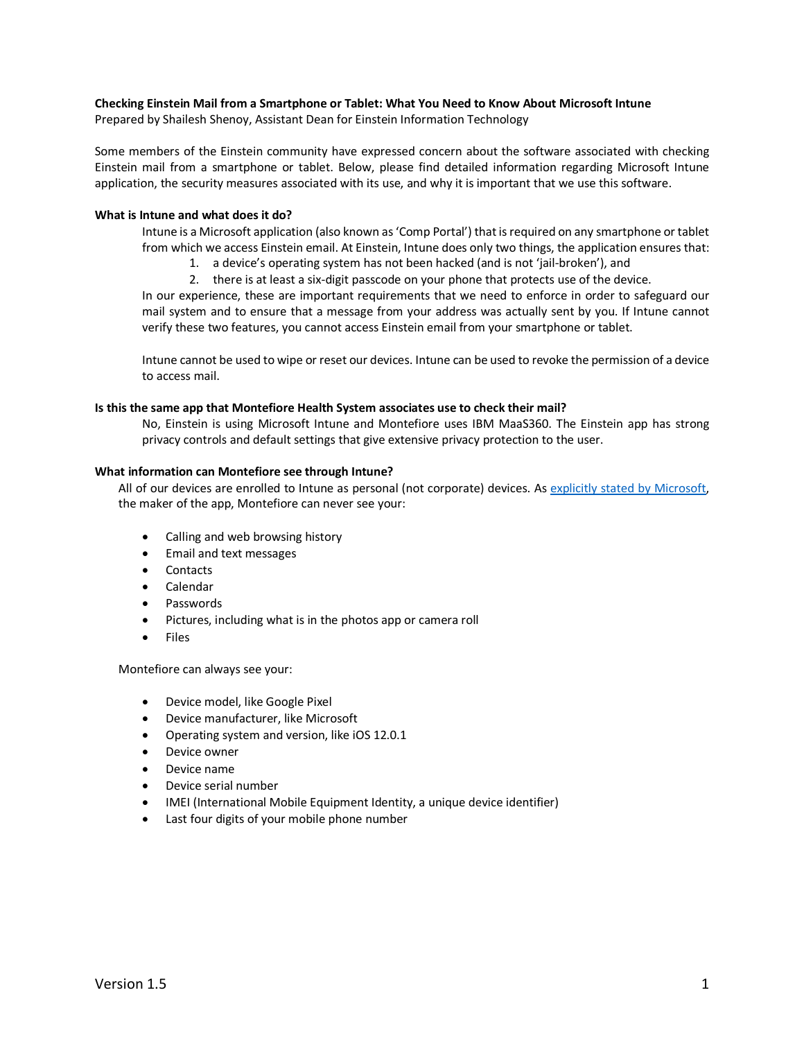## **Checking Einstein Mail from a Smartphone or Tablet: What You Need to Know About Microsoft Intune**

Prepared by Shailesh Shenoy, Assistant Dean for Einstein Information Technology

Some members of the Einstein community have expressed concern about the software associated with checking Einstein mail from a smartphone or tablet. Below, please find detailed information regarding Microsoft Intune application, the security measures associated with its use, and why it is important that we use this software.

## **What is Intune and what does it do?**

Intune is a Microsoft application (also known as 'Comp Portal') that is required on any smartphone or tablet from which we access Einstein email. At Einstein, Intune does only two things, the application ensures that:

- 1. a device's operating system has not been hacked (and is not 'jail-broken'), and
- 2. there is at least a six-digit passcode on your phone that protects use of the device.

In our experience, these are important requirements that we need to enforce in order to safeguard our mail system and to ensure that a message from your address was actually sent by you. If Intune cannot verify these two features, you cannot access Einstein email from your smartphone or tablet.

Intune cannot be used to wipe or reset our devices. Intune can be used to revoke the permission of a device to access mail.

## **Is this the same app that Montefiore Health System associates use to check their mail?**

No, Einstein is using Microsoft Intune and Montefiore uses IBM MaaS360. The Einstein app has strong privacy controls and default settings that give extensive privacy protection to the user.

#### **What information can Montefiore see through Intune?**

All of our devices are enrolled to Intune as personal (not corporate) devices. As explicitly stated by Microsoft, the maker of the app, Montefiore can never see your:

- Calling and web browsing history
- Email and text messages
- Contacts
- Calendar
- Passwords
- Pictures, including what is in the photos app or camera roll
- **Files**

Montefiore can always see your:

- Device model, like Google Pixel
- Device manufacturer, like Microsoft
- Operating system and version, like iOS 12.0.1
- Device owner
- Device name
- Device serial number
- IMEI (International Mobile Equipment Identity, a unique device identifier)
- Last four digits of your mobile phone number